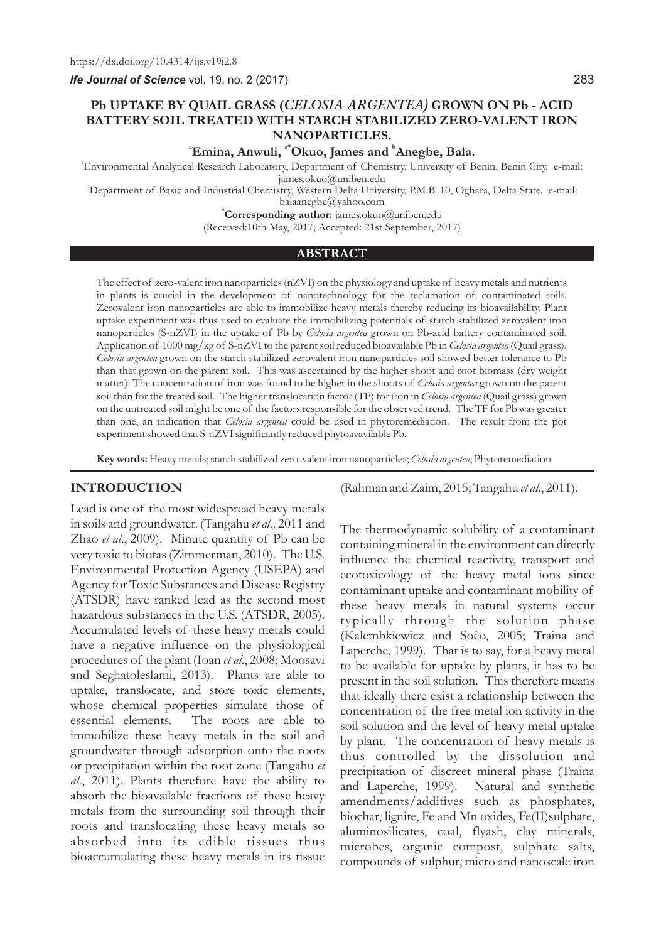*Ife Journal of Science* vol. 19, no. 2 (2017)

### **Pb UPTAKE BY QUAIL GRASS (***CELOSIA ARGENTEA)* **GROWN ON Pb - ACID BATTERY SOIL TREATED WITH STARCH STABILIZED ZERO-VALENT IRON NANOPARTICLES.**

<sup>a</sup> Emina, Anwuli, <sup>a\*</sup>Okuo, James and <sup>b</sup>Anegbe, Bala.

a Environmental Analytical Research Laboratory, Department of Chemistry, University of Benin, Benin City. e-mail:

james.okuo@uniben.edu

<sup>b</sup>Department of Basic and Industrial Chemistry, Western Delta University, P.M.B. 10, Oghara, Delta State. e-mail:

balaanegbe@yahoo.com

**\*Corresponding author:** james.okuo@uniben.edu (Received:10th May, 2017; Accepted: 21st September, 2017)

#### **ABSTRACT**

The effect of zero-valent iron nanoparticles (nZVI) on the physiology and uptake of heavy metals and nutrients in plants is crucial in the development of nanotechnology for the reclamation of contaminated soils. Zerovalent iron nanoparticles are able to immobilize heavy metals thereby reducing its bioavailability. Plant uptake experiment was thus used to evaluate the immobilizing potentials of starch stabilized zerovalent iron nanoparticles (S-nZVI) in the uptake of Pb by *Celosia argentea* grown on Pb-acid battery contaminated soil. Application of 1000 mg/kg of S-nZVI to the parent soil reduced bioavailable Pb in *Celosia argentea* (Quail grass). *Celosia argentea* grown on the starch stabilized zerovalent iron nanoparticles soil showed better tolerance to Pb than that grown on the parent soil. This was ascertained by the higher shoot and root biomass (dry weight matter). The concentration of iron was found to be higher in the shoots of *Celosia argentea* grown on the parent soil than for the treated soil. The higher translocation factor (TF) for iron in *Celosia argentea* (Quail grass) grown on the untreated soil might be one of the factors responsible for the observed trend. The TF for Pb was greater than one, an indication that *Celosia argentea* could be used in phytoremediation. The result from the pot experiment showed that S-nZVI significantly reduced phytoavavilable Pb.

**Key words:**Heavy metals; starch stabilized zero-valent iron nanoparticles; *Celosia argentea*; Phytoremediation

# **INTRODUCTION**

Lead is one of the most widespread heavy metals in soils and groundwater. (Tangahu *et al.,* 2011 and Zhao *et al*., 2009). Minute quantity of Pb can be very toxic to biotas (Zimmerman, 2010). The U.S. Environmental Protection Agency (USEPA) and Agency for Toxic Substances and Disease Registry (ATSDR) have ranked lead as the second most hazardous substances in the U.S. (ATSDR, 2005). Accumulated levels of these heavy metals could have a negative influence on the physiological procedures of the plant (Ioan *et al*., 2008; Moosavi and Seghatoleslami, 2013). Plants are able to uptake, translocate, and store toxic elements, whose chemical properties simulate those of essential elements. The roots are able to immobilize these heavy metals in the soil and groundwater through adsorption onto the roots or precipitation within the root zone (Tangahu *et al*., 2011). Plants therefore have the ability to absorb the bioavailable fractions of these heavy metals from the surrounding soil through their roots and translocating these heavy metals so absorbed into its edible tissues thus bioaccumulating these heavy metals in its tissue

(Rahman and Zaim, 2015; Tangahu *et al*., 2011).

The thermodynamic solubility of a contaminant containing mineral in the environment can directly influence the chemical reactivity, transport and ecotoxicology of the heavy metal ions since contaminant uptake and contaminant mobility of these heavy metals in natural systems occur typically through the solution phase (Kalembkiewicz and Soèo, 2005; Traina and Laperche, 1999). That is to say, for a heavy metal to be available for uptake by plants, it has to be present in the soil solution. This therefore means that ideally there exist a relationship between the concentration of the free metal ion activity in the soil solution and the level of heavy metal uptake by plant. The concentration of heavy metals is thus controlled by the dissolution and precipitation of discreet mineral phase (Traina and Laperche, 1999). Natural and synthetic amendments/additives such as phosphates, biochar, lignite, Fe and Mn oxides, Fe(II)sulphate, aluminosilicates, coal, flyash, clay minerals, microbes, organic compost, sulphate salts, compounds of sulphur, micro and nanoscale iron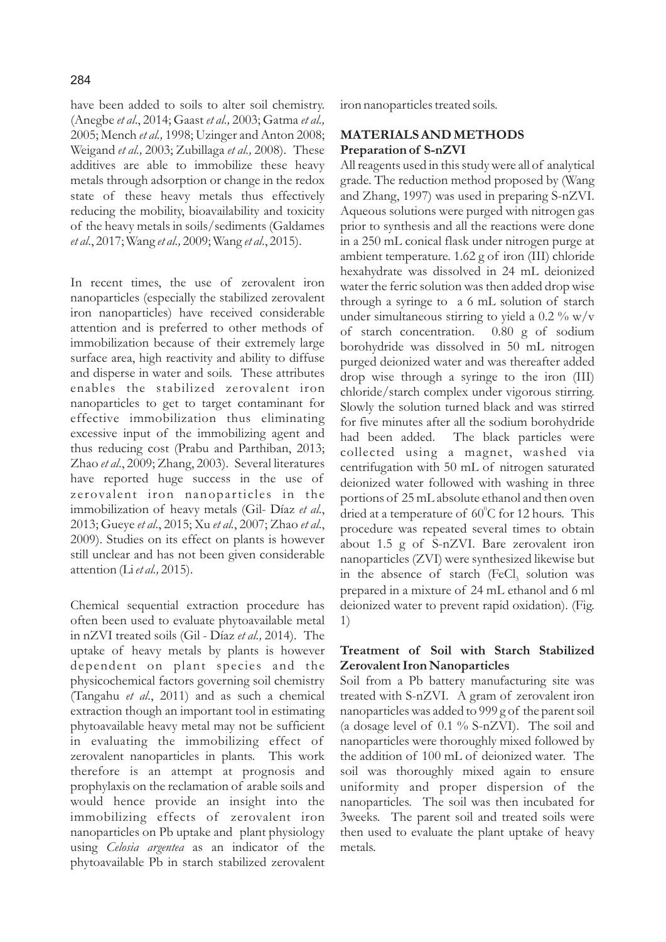# 284

have been added to soils to alter soil chemistry. (Anegbe *et al*., 2014; Gaast *et al.,* 2003; Gatma *et al.,* 2005; Mench *et al.,* 1998; Uzinger and Anton 2008; Weigand *et al.,* 2003; Zubillaga *et al.,* 2008). These additives are able to immobilize these heavy metals through adsorption or change in the redox state of these heavy metals thus effectively reducing the mobility, bioavailability and toxicity of the heavy metals in soils/sediments (Galdames *et al*., 2017; Wang *et al.,* 2009; Wang *et al*., 2015).

In recent times, the use of zerovalent iron nanoparticles (especially the stabilized zerovalent iron nanoparticles) have received considerable attention and is preferred to other methods of immobilization because of their extremely large surface area, high reactivity and ability to diffuse and disperse in water and soils. These attributes enables the stabilized zerovalent iron nanoparticles to get to target contaminant for effective immobilization thus eliminating excessive input of the immobilizing agent and thus reducing cost (Prabu and Parthiban, 2013; Zhao *et al*., 2009; Zhang, 2003). Several literatures have reported huge success in the use of zerovalent iron nanoparticles in the immobilization of heavy metals (Gil- Díaz *et al*., 2013; Gueye *et al*., 2015; Xu *et al.*, 2007; Zhao *et al*., 2009). Studies on its effect on plants is however still unclear and has not been given considerable attention (Li *et al.,* 2015).

Chemical sequential extraction procedure has often been used to evaluate phytoavailable metal in nZVI treated soils (Gil - Díaz *et al.,* 2014). The uptake of heavy metals by plants is however dependent on plant species and the physicochemical factors governing soil chemistry (Tangahu *et al*., 2011) and as such a chemical extraction though an important tool in estimating phytoavailable heavy metal may not be sufficient in evaluating the immobilizing effect of zerovalent nanoparticles in plants. This work therefore is an attempt at prognosis and prophylaxis on the reclamation of arable soils and would hence provide an insight into the immobilizing effects of zerovalent iron nanoparticles on Pb uptake and plant physiology using *Celosia argentea* as an indicator of the phytoavailable Pb in starch stabilized zerovalent

iron nanoparticles treated soils.

# **MATERIALS AND METHODS Preparation of S-nZVI**

All reagents used in this study were all of analytical grade. The reduction method proposed by (Wang and Zhang, 1997) was used in preparing S-nZVI. Aqueous solutions were purged with nitrogen gas prior to synthesis and all the reactions were done in a 250 mL conical flask under nitrogen purge at ambient temperature. 1.62 g of iron (III) chloride hexahydrate was dissolved in 24 mL deionized water the ferric solution was then added drop wise through a syringe to a 6 mL solution of starch under simultaneous stirring to yield a 0.2  $\%$  w/v of starch concentration. 0.80 g of sodium borohydride was dissolved in 50 mL nitrogen purged deionized water and was thereafter added drop wise through a syringe to the iron (III) chloride/starch complex under vigorous stirring. Slowly the solution turned black and was stirred for five minutes after all the sodium borohydride had been added. The black particles were collected using a magnet, washed via centrifugation with 50 mL of nitrogen saturated deionized water followed with washing in three portions of 25 mL absolute ethanol and then oven dried at a temperature of 60°C for 12 hours. This procedure was repeated several times to obtain about 1.5 g of S-nZVI. Bare zerovalent iron nanoparticles (ZVI) were synthesized likewise but in the absence of starch  $(FeCl<sub>s</sub>$  solution was prepared in a mixture of 24 mL ethanol and 6 ml deionized water to prevent rapid oxidation). (Fig. 1)

# **Treatment of Soil with Starch Stabilized Zerovalent Iron Nanoparticles**

Soil from a Pb battery manufacturing site was treated with S-nZVI. A gram of zerovalent iron nanoparticles was added to 999 g of the parent soil (a dosage level of 0.1 % S-nZVI). The soil and nanoparticles were thoroughly mixed followed by the addition of 100 mL of deionized water. The soil was thoroughly mixed again to ensure uniformity and proper dispersion of the nanoparticles. The soil was then incubated for 3weeks. The parent soil and treated soils were then used to evaluate the plant uptake of heavy metals.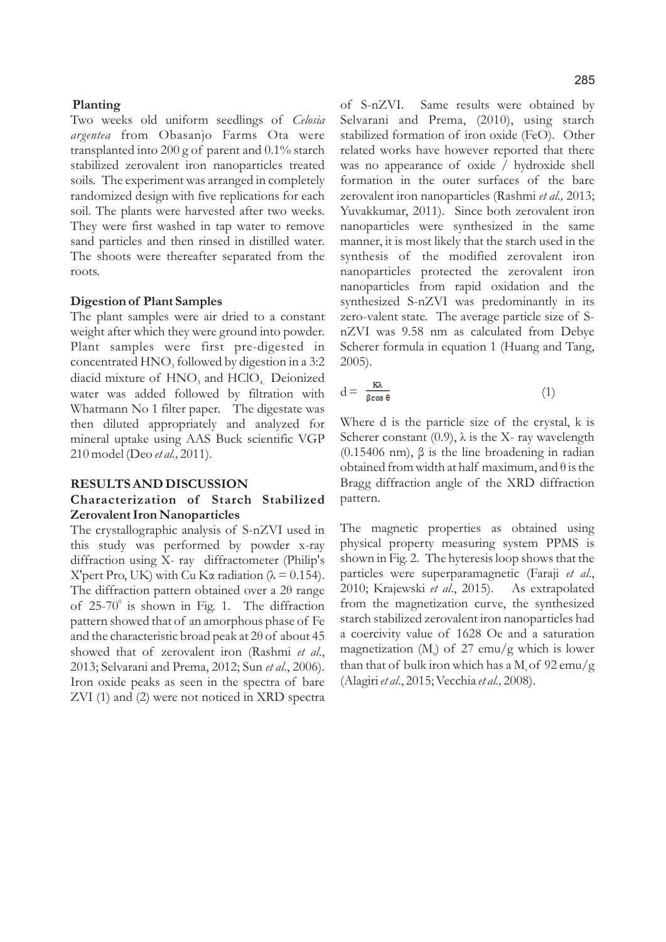#### **Planting**

Two weeks old uniform seedlings of *Celosia argentea* from Obasanjo Farms Ota were transplanted into 200 g of parent and 0.1% starch stabilized zerovalent iron nanoparticles treated soils. The experiment was arranged in completely randomized design with five replications for each soil. The plants were harvested after two weeks. They were first washed in tap water to remove sand particles and then rinsed in distilled water. The shoots were thereafter separated from the roots.

#### **Digestion of Plant Samples**

The plant samples were air dried to a constant weight after which they were ground into powder. Plant samples were first pre-digested in concentrated HNO<sub>3</sub> followed by digestion in a 3:2 diacid mixture of HNO<sub>3</sub> and HClO<sub>4</sub>. Deionized water was added followed by filtration with Whatmann No 1 filter paper. The digestate was then diluted appropriately and analyzed for mineral uptake using AAS Buck scientific VGP 210 model (Deo *et al.,* 2011).

#### **RESULTS AND DISCUSSION**

#### **Characterization of Starch Stabilized Zerovalent Iron Nanoparticles**

The crystallographic analysis of S-nZVI used in this study was performed by powder x-ray diffraction using X- ray diffractometer (Philip's X'pert Pro, UK) with Cu Kα radiation ( $\lambda = 0.154$ ). The diffraction pattern obtained over a 2θ range of  $25-70^\circ$  is shown in Fig. 1. The diffraction pattern showed that of an amorphous phase of Fe and the characteristic broad peak at 2θ of about 45 showed that of zerovalent iron (Rashmi *et al*., 2013; Selvarani and Prema, 2012; Sun *et al*., 2006). Iron oxide peaks as seen in the spectra of bare ZVI (1) and (2) were not noticed in XRD spectra

of S-nZVI. Same results were obtained by Selvarani and Prema, (2010), using starch stabilized formation of iron oxide (FeO). Other related works have however reported that there was no appearance of oxide / hydroxide shell formation in the outer surfaces of the bare zerovalent iron nanoparticles (Rashmi *et al.,* 2013; Yuvakkumar, 2011). Since both zerovalent iron nanoparticles were synthesized in the same manner, it is most likely that the starch used in the synthesis of the modified zerovalent iron nanoparticles protected the zerovalent iron nanoparticles from rapid oxidation and the synthesized S-nZVI was predominantly in its zero-valent state. The average particle size of SnZVI was 9.58 nm as calculated from Debye Scherer formula in equation 1 (Huang and Tang, 2005).

$$
d = \frac{K\lambda}{\beta \cos \theta} \tag{1}
$$

Where d is the particle size of the crystal, k is Scherer constant  $(0.9)$ ,  $\lambda$  is the X- ray wavelength (0.15406 nm), β is the line broadening in radian obtained from width at half maximum, and  $\theta$  is the Bragg diffraction angle of the XRD diffraction pattern.

The magnetic properties as obtained using physical property measuring system PPMS is shown in Fig. 2. The hyteresis loop shows that the particles were superparamagnetic (Faraji *et al*., 2010; Krajewski *et al*., 2015). As extrapolated from the magnetization curve, the synthesized starch stabilized zerovalent iron nanoparticles had a coercivity value of 1628 Oe and a saturation magnetization  $(M<sub>s</sub>)$  of 27 emu/g which is lower than that of bulk iron which has a M of 92 emu/g (Alagiri *et al*., 2015; Vecchia *et al.,* 2008).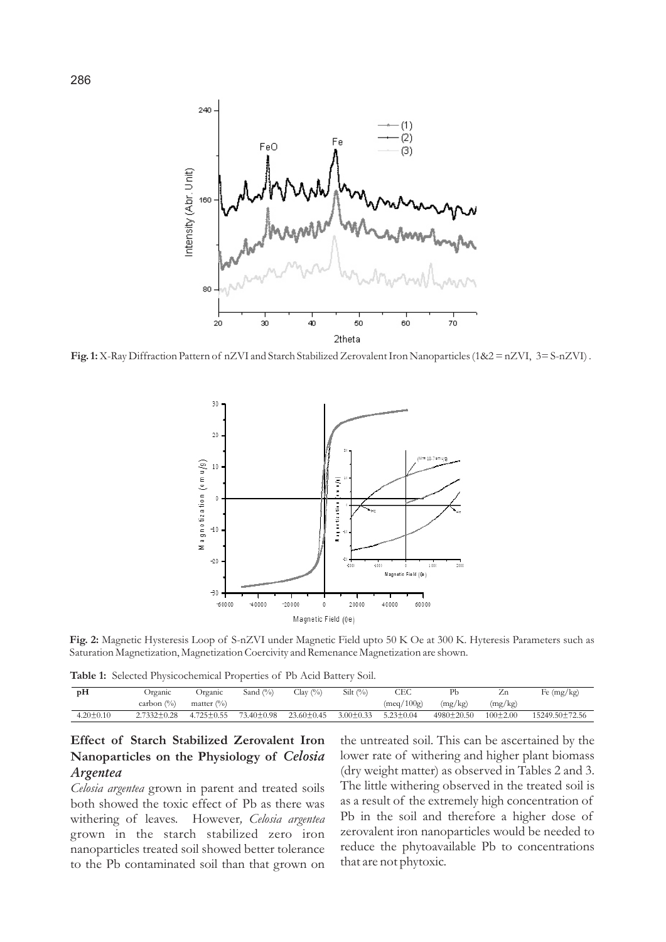

**Fig. 1:** X-Ray Diffraction Pattern of nZVI and Starch Stabilized Zerovalent Iron Nanoparticles (1&2 = nZVI, 3= S-nZVI) .



**Fig. 2:** Magnetic Hysteresis Loop of S-nZVI under Magnetic Field upto 50 K Oe at 300 K. Hyteresis Parameters such as Saturation Magnetization, Magnetization Coercivity and Remenance Magnetization are shown.

**Table 1:** Selected Physicochemical Properties of Pb Acid Battery Soil.

| pH              | Organic           | Organic               | Sand $(\% )$ | Clay $(\%)$ | Silt $(\%)$     | CEC             |            | Ζn           | Fe $(mg/kg)$   |
|-----------------|-------------------|-----------------------|--------------|-------------|-----------------|-----------------|------------|--------------|----------------|
|                 | carbon $(\% )$    | matter $\binom{0}{0}$ |              |             |                 | (meq/100g)      | (mg/kg)    | (mg/kg)      |                |
| $4.20 \pm 0.10$ | $2.7332 \pm 0.28$ | $4.725 \pm 0.55$      | 73.40±0.98   | 23.60±0.45  | $3.00 \pm 0.33$ | $5.23 \pm 0.04$ | 4980±20.50 | $100\pm2.00$ | 15249.50±72.56 |

# **Effect of Starch Stabilized Zerovalent Iron Nanoparticles on the Physiology of** *Celosia Argentea*

*Celosia argentea* grown in parent and treated soils both showed the toxic effect of Pb as there was withering of leaves. However*, Celosia argentea* grown in the starch stabilized zero iron nanoparticles treated soil showed better tolerance to the Pb contaminated soil than that grown on the untreated soil. This can be ascertained by the lower rate of withering and higher plant biomass (dry weight matter) as observed in Tables 2 and 3. The little withering observed in the treated soil is as a result of the extremely high concentration of Pb in the soil and therefore a higher dose of zerovalent iron nanoparticles would be needed to reduce the phytoavailable Pb to concentrations that are not phytoxic.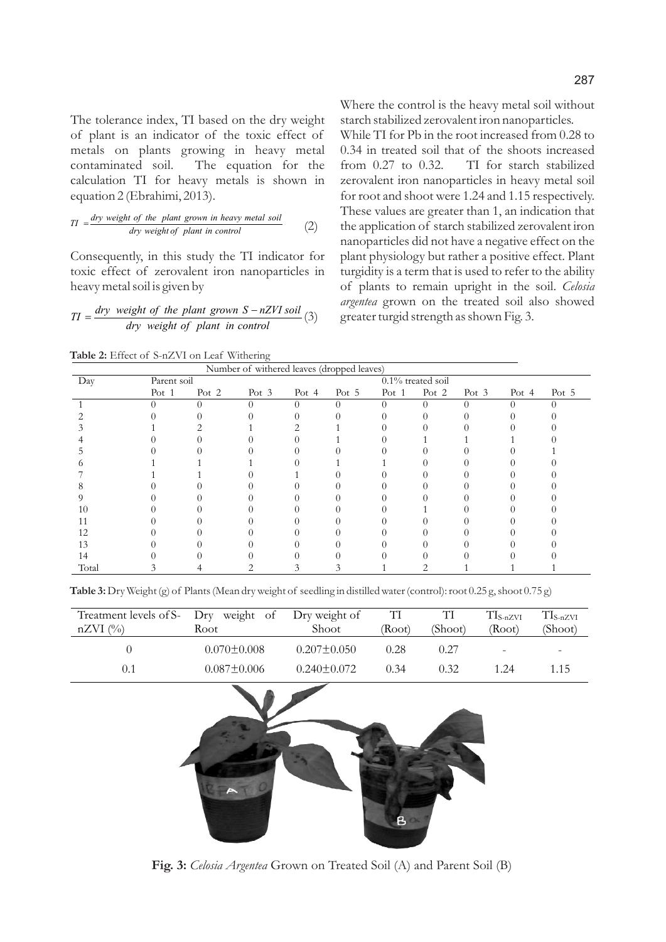The tolerance index, TI based on the dry weight of plant is an indicator of the toxic effect of metals on plants growing in heavy metal contaminated soil. The equation for the calculation TI for heavy metals is shown in equation 2 (Ebrahimi, 2013).

$$
TI = \frac{dry \ weight \ of \ the \ plant \ grown \ in \ heavy \ metal \ soil}{dry \ weight \ of \ plant \ in \ control} \tag{2}
$$

Consequently, in this study the TI indicator for toxic effect of zerovalent iron nanoparticles in heavy metal soil is given by

$$
TI = \frac{dry \ weight \ of \ the \ plant \ grown \ S - nZVI \ soil}{dry \ weight \ of \ plant \ in \ control} (3)
$$

**Table 2:** Effect of S-nZVI on Leaf Withering

Where the control is the heavy metal soil without starch stabilized zerovalent iron nanoparticles.

While TI for Pb in the root increased from 0.28 to 0.34 in treated soil that of the shoots increased from 0.27 to 0.32. TI for starch stabilized zerovalent iron nanoparticles in heavy metal soil for root and shoot were 1.24 and 1.15 respectively. These values are greater than 1, an indication that the application of starch stabilized zerovalent iron nanoparticles did not have a negative effect on the plant physiology but rather a positive effect. Plant turgidity is a term that is used to refer to the ability of plants to remain upright in the soil. *Celosia argentea* grown on the treated soil also showed greater turgid strength as shown Fig. 3.

| Number of withered leaves (dropped leaves) |             |                  |          |          |                      |          |          |          |          |       |
|--------------------------------------------|-------------|------------------|----------|----------|----------------------|----------|----------|----------|----------|-------|
| Day                                        | Parent soil |                  |          |          | $0.1\%$ treated soil |          |          |          |          |       |
|                                            | Pot 1       | Pot 2            | Pot 3    | Pot $4$  | Pot 5                | Pot 1    | Pot 2    | Pot 3    | Pot $4$  | Pot 5 |
|                                            | $^{(1)}$    | $\left( \right)$ | $\theta$ | $\Omega$ | $\Omega$             | $\theta$ | $\theta$ | $\Omega$ | $\theta$ | 0     |
|                                            |             |                  |          |          |                      |          |          |          |          |       |
|                                            |             |                  |          |          |                      |          |          |          |          |       |
|                                            |             |                  |          |          |                      |          |          |          |          |       |
|                                            |             |                  |          |          |                      |          |          |          |          |       |
|                                            |             |                  |          |          |                      |          |          |          |          |       |
|                                            |             |                  |          |          |                      |          |          |          |          |       |
|                                            |             |                  |          |          |                      |          |          |          |          |       |
|                                            |             |                  |          |          |                      |          |          |          |          |       |
| 10                                         |             |                  |          |          |                      |          |          |          |          |       |
|                                            |             |                  |          |          |                      |          |          |          |          |       |
| 12                                         |             |                  |          |          |                      |          |          |          |          |       |
| 13                                         |             |                  |          |          |                      |          |          |          |          |       |
| 14                                         |             |                  |          |          |                      |          |          |          |          |       |
| Total                                      |             |                  |          |          |                      |          |          |          |          |       |

**Table 3:** Dry Weight (g) of Plants (Mean dry weight of seedling in distilled water (control): root 0.25 g, shoot 0.75 g)

| Treatment levels of S- Dry weight of Dry weight of<br>$nZVI$ (%) | Root              | Shoot             | TI<br>(Root) | TI<br>(Shoot) | $\mathrm{TI}_{\mathrm{S-nZVI}}$<br>(Root) | $\mathrm{TI}_{\mathrm{S-nZVI}}$<br>(Shoot) |
|------------------------------------------------------------------|-------------------|-------------------|--------------|---------------|-------------------------------------------|--------------------------------------------|
|                                                                  | $0.070 \pm 0.008$ | $0.207 \pm 0.050$ | 0.28         | 0.27          | $\qquad \qquad =$                         |                                            |
| 0.1                                                              | $0.087 \pm 0.006$ | $0.240 \pm 0.072$ | 0.34         | 0.32          | 124                                       | 1.15                                       |



**Fig. 3:** *Celosia Argentea* Grown on Treated Soil (A) and Parent Soil (B)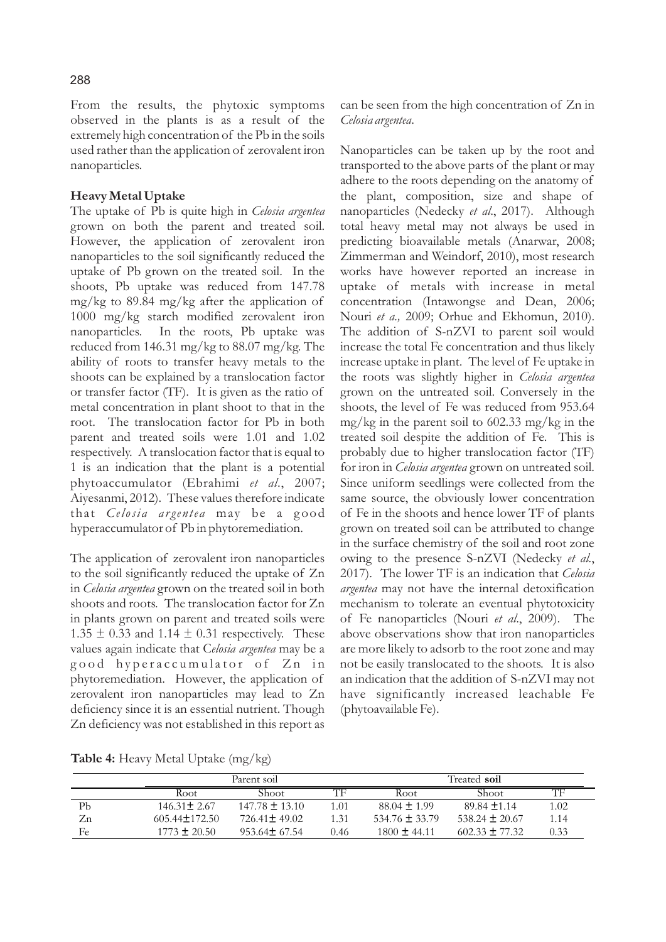From the results, the phytoxic symptoms observed in the plants is as a result of the extremely high concentration of the Pb in the soils used rather than the application of zerovalent iron nanoparticles.

# **Heavy Metal Uptake**

The uptake of Pb is quite high in *Celosia argentea* grown on both the parent and treated soil. However, the application of zerovalent iron nanoparticles to the soil significantly reduced the uptake of Pb grown on the treated soil. In the shoots, Pb uptake was reduced from 147.78 mg/kg to 89.84 mg/kg after the application of 1000 mg/kg starch modified zerovalent iron nanoparticles. In the roots, Pb uptake was reduced from 146.31 mg/kg to 88.07 mg/kg. The ability of roots to transfer heavy metals to the shoots can be explained by a translocation factor or transfer factor (TF). It is given as the ratio of metal concentration in plant shoot to that in the root. The translocation factor for Pb in both parent and treated soils were 1.01 and 1.02 respectively. A translocation factor that is equal to 1 is an indication that the plant is a potential phytoaccumulator (Ebrahimi *et al*., 2007; Aiyesanmi, 2012). These values therefore indicate that *Celosia argentea* may be a good hyperaccumulator of Pb in phytoremediation.

The application of zerovalent iron nanoparticles to the soil significantly reduced the uptake of Zn in *Celosia argentea* grown on the treated soil in both shoots and roots. The translocation factor for Zn in plants grown on parent and treated soils were  $1.35 \pm 0.33$  and  $1.14 \pm 0.31$  respectively. These values again indicate that C*elosia argentea* may be a good hyperaccumulator of Zn in phytoremediation. However, the application of zerovalent iron nanoparticles may lead to Zn deficiency since it is an essential nutrient. Though Zn deficiency was not established in this report as can be seen from the high concentration of Zn in *Celosia argentea*.

Nanoparticles can be taken up by the root and transported to the above parts of the plant or may adhere to the roots depending on the anatomy of the plant, composition, size and shape of nanoparticles (Nedecky *et al*., 2017). Although total heavy metal may not always be used in predicting bioavailable metals (Anarwar, 2008; Zimmerman and Weindorf, 2010), most research works have however reported an increase in uptake of metals with increase in metal concentration (Intawongse and Dean, 2006; Nouri *et a.,* 2009; Orhue and Ekhomun, 2010). The addition of S-nZVI to parent soil would increase the total Fe concentration and thus likely increase uptake in plant. The level of Fe uptake in the roots was slightly higher in *Celosia argentea* grown on the untreated soil. Conversely in the shoots, the level of Fe was reduced from 953.64 mg/kg in the parent soil to 602.33 mg/kg in the treated soil despite the addition of Fe. This is probably due to higher translocation factor (TF) for iron in *Celosia argentea* grown on untreated soil. Since uniform seedlings were collected from the same source, the obviously lower concentration of Fe in the shoots and hence lower TF of plants grown on treated soil can be attributed to change in the surface chemistry of the soil and root zone owing to the presence S-nZVI (Nedecky *et al.*, 2017). The lower TF is an indication that *Celosia argentea* may not have the internal detoxification mechanism to tolerate an eventual phytotoxicity of Fe nanoparticles (Nouri *et al*., 2009). The above observations show that iron nanoparticles are more likely to adsorb to the root zone and may not be easily translocated to the shoots. It is also an indication that the addition of S-nZVI may not have significantly increased leachable Fe (phytoavailable Fe).

**Table 4:** Heavy Metal Uptake (mg/kg)

|    |                     | Parent soil        | Treated soil |                    |                    |      |
|----|---------------------|--------------------|--------------|--------------------|--------------------|------|
|    | Root                | Shoot              | TF           | Root               | Shoot              | TF   |
| Pb | $146.31 \pm 2.67$   | $147.78 \pm 13.10$ | 1.01         | $88.04 \pm 1.99$   | $89.84 \pm 1.14$   | 1.02 |
| Zn | $605.44 \pm 172.50$ | $726.41 \pm 49.02$ | 1.31         | $534.76 \pm 33.79$ | $538.24 \pm 20.67$ | l.14 |
| Fe | $1773 + 20.50$      | $953.64 \pm 67.54$ | 0.46         | $1800 + 44.11$     | $602.33 + 77.32$   | 0.33 |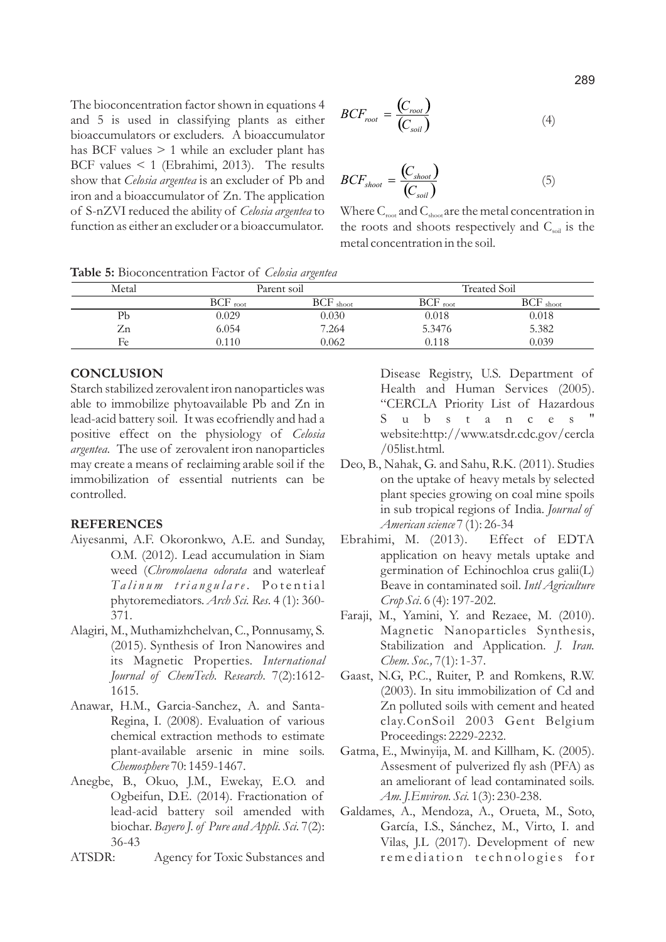The bioconcentration factor shown in equations 4 and 5 is used in classifying plants as either bioaccumulators or excluders. A bioaccumulator has BCF values > 1 while an excluder plant has BCF values  $\leq 1$  (Ebrahimi, 2013). The results show that *Celosia argentea* is an excluder of Pb and iron and a bioaccumulator of Zn. The application of S-nZVI reduced the ability of *Celosia argentea* to function as either an excluder or a bioaccumulator.

$$
BCF_{root} = \frac{(C_{root})}{(C_{soil})}
$$
\n(4)

$$
BCF_{\text{shoot}} = \frac{(C_{\text{shoot}})}{(C_{\text{soil}})}
$$
(5)

Where  $C_{\text{root}}$  and  $C_{\text{shoot}}$  are the metal concentration in the roots and shoots respectively and  $C_{\text{coll}}$  is the metal concentration in the soil.

Metal Parent soil Treated Soil<br>BCF  $_{\text{root}}$  BCF  $_{\text{shoot}}$  BCF  $_{\text{root}}$  BCF  $_{\text{root}}$ BCF shoot BCF root BCF shoot Pb 0.029 0.030 0.018 0.018 0.018 Zn 6.054 7.264 5.3476 5.382 Fe  $0.110$   $0.062$   $0.118$   $0.039$ 

**Table 5:** Bioconcentration Factor of *Celosia argentea*

#### **CONCLUSION**

Starch stabilized zerovalent iron nanoparticles was able to immobilize phytoavailable Pb and Zn in lead-acid battery soil. It was ecofriendly and had a positive effect on the physiology of *Celosia argentea*. The use of zerovalent iron nanoparticles may create a means of reclaiming arable soil if the immobilization of essential nutrients can be controlled.

#### **REFERENCES**

- Aiyesanmi, A.F. Okoronkwo, A.E. and Sunday, O.M. (2012). Lead accumulation in Siam weed (*Chromolaena odorata* and waterleaf *Ta l i n u m t r i a n g u l a r e* . Po t e n t i a l phytoremediators. *Arch Sci. Res*. 4 (1): 360- 371.
- Alagiri, M., Muthamizhchelvan, C., Ponnusamy, S. (2015). Synthesis of Iron Nanowires and its Magnetic Properties. *International Journal of ChemTech. Research*. 7(2):1612- 1615.
- Anawar, H.M., Garcia-Sanchez, A. and Santa-Regina, I. (2008). Evaluation of various chemical extraction methods to estimate plant-available arsenic in mine soils. *Chemosphere* 70: 1459-1467.
- Anegbe, B., Okuo, J.M., Ewekay, E.O. and Ogbeifun, D.E. (2014). Fractionation of lead-acid battery soil amended with biochar. *Bayero J. of Pure and Appli. Sci.* 7(2): 36-43
- ATSDR: Agency for Toxic Substances and

Disease Registry, U.S. Department of Health and Human Services (2005). "CERCLA Priority List of Hazardous S u b s t a n c e s " website:http://www.atsdr.cdc.gov/cercla /05list.html.

- Deo, B., Nahak, G. and Sahu, R.K. (2011). Studies on the uptake of heavy metals by selected plant species growing on coal mine spoils in sub tropical regions of India. *Journal of American science* 7 (1): 26-34
- Ebrahimi, M. (2013). Effect of EDTA application on heavy metals uptake and germination of Echinochloa crus galii(L) Beave in contaminated soil. *Intl Agriculture Crop Sci*. 6 (4): 197-202.
- Faraji, M., Yamini, Y. and Rezaee, M. (2010). Magnetic Nanoparticles Synthesis, Stabilization and Application. *J. Iran. Chem. Soc.,* 7(1): 1-37.
- Gaast, N.G, P.C., Ruiter, P. and Romkens, R.W. (2003). In situ immobilization of Cd and Zn polluted soils with cement and heated clay.ConSoil 2003 Gent Belgium Proceedings: 2229-2232.
- Gatma, E., Mwinyija, M. and Killham, K. (2005). Assesment of pulverized fly ash (PFA) as an ameliorant of lead contaminated soils. *Am. J.Environ. Sci.* 1(3): 230-238.
- Galdames, A., Mendoza, A., Orueta, M., Soto, García, I.S., Sánchez, M., Virto, I. and Vilas, J.L (2017). Development of new remediation technologies for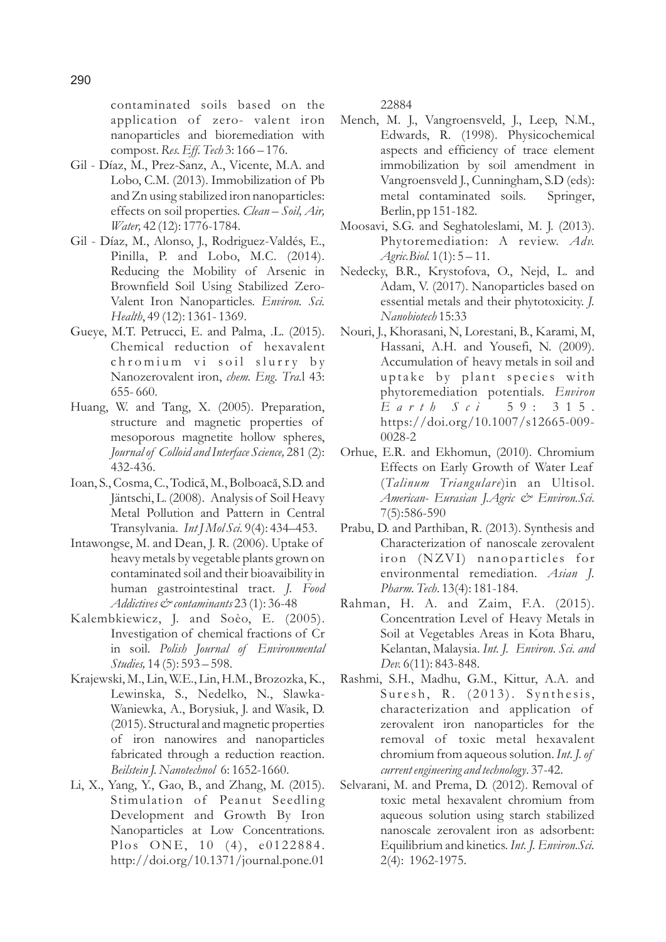contaminated soils based on the application of zero- valent iron nanoparticles and bioremediation with compost. *Res. Eff. Tech* 3: 166 – 176.

- Gil Díaz, M., Prez-Sanz, A., Vicente, M.A. and Lobo, C.M. (2013). Immobilization of Pb and Zn using stabilized iron nanoparticles: effects on soil properties. *Clean – Soil, Air, Water,* 42 (12): 1776-1784.
- Gil Díaz, M., Alonso, J., Rodriguez-Valdés, E., Pinilla, P. and Lobo, M.C. (2014). Reducing the Mobility of Arsenic in Brownfield Soil Using Stabilized Zero-Valent Iron Nanoparticles. *Environ. Sci. Health*, 49 (12): 1361- 1369.
- Gueye, M.T. Petrucci, E. and Palma, .L. (2015). Chemical reduction of hexavalent chromium vi soil slurry by Nanozerovalent iron, *chem. Eng. Tra.*l 43: 655- 660.
- Huang, W. and Tang, X. (2005). Preparation, structure and magnetic properties of mesoporous magnetite hollow spheres, *Journal of Colloid and Interface Science,* 281 (2): 432-436.
- Ioan, S., Cosma, C., Todică, M., Bolboacă, S.D. and Jäntschi, L. (2008). Analysis of Soil Heavy Metal Pollution and Pattern in Central Transylvania. *Int J Mol Sci.* 9(4): 434–453.
- Intawongse, M. and Dean, J. R. (2006). Uptake of heavy metals by vegetable plants grown on contaminated soil and their bioavaibility in human gastrointestinal tract. *J. Food Addictives & contaminants* 23 (1): 36-48
- Kalembkiewicz, J. and Soèo, E. (2005). Investigation of chemical fractions of Cr in soil. *Polish Journal of Environmental Studies,* 14 (5): 593 – 598.
- Krajewski, M., Lin, W.E., Lin, H.M., Brozozka, K., Lewinska, S., Nedelko, N., Slawka-Waniewka, A., Borysiuk, J. and Wasik, D. (2015). Structural and magnetic properties of iron nanowires and nanoparticles fabricated through a reduction reaction. *Beilstein J. Nanotechnol* 6: 1652-1660.
- Li, X., Yang, Y., Gao, B., and Zhang, M. (2015). Stimulation of Peanut Seedling Development and Growth By Iron Nanoparticles at Low Concentrations. Plos ONE,  $10(4)$ ,  $e0122884$ . http://doi.org/10.1371/journal.pone.01

22884

- Mench, M. J., Vangroensveld, J., Leep, N.M., Edwards, R. (1998). Physicochemical aspects and efficiency of trace element immobilization by soil amendment in Vangroensveld J., Cunningham, S.D (eds): metal contaminated soils. Springer, Berlin, pp 151-182.
- Moosavi, S.G. and Seghatoleslami, M. J. (2013). Phytoremediation: A review. *Adv. Agric.Biol.* 1(1): 5 – 11.
- Nedecky, B.R., Krystofova, O., Nejd, L. and Adam, V. (2017). Nanoparticles based on essential metals and their phytotoxicity. *J. Nanobiotech* 15:33
- Nouri, J., Khorasani, N, Lorestani, B., Karami, M, Hassani, A.H. and Yousefi, N. (2009). Accumulation of heavy metals in soil and uptake by plant species with phytoremediation potentials. *Environ E a r t h S c i* 5 9 : 3 1 5 . https://doi.org/10.1007/s12665-009- 0028-2
- Orhue, E.R. and Ekhomun, (2010). Chromium Effects on Early Growth of Water Leaf (*Talinum Triangulare*)in an Ultisol. *American- Eurasian J.Agric & Environ.Sci*. 7(5):586-590
- Prabu, D. and Parthiban, R. (2013). Synthesis and Characterization of nanoscale zerovalent iron (NZVI) nanoparticles for environmental remediation. *Asian J. Pharm. Tech*. 13(4): 181-184.
- Rahman, H. A. and Zaim, F.A. (2015). Concentration Level of Heavy Metals in Soil at Vegetables Areas in Kota Bharu, Kelantan, Malaysia. *Int. J. Environ. Sci. and Dev.* 6(11): 843-848.
- Rashmi, S.H., Madhu, G.M., Kittur, A.A. and Suresh, R. (2013). Synthesis, characterization and application of zerovalent iron nanoparticles for the removal of toxic metal hexavalent chromium from aqueous solution. *Int. J. of current engineering and technology*. 37-42.
- Selvarani, M. and Prema, D. (2012). Removal of toxic metal hexavalent chromium from aqueous solution using starch stabilized nanoscale zerovalent iron as adsorbent: Equilibrium and kinetics. *Int. J. Environ.Sci.*  2(4): 1962-1975.